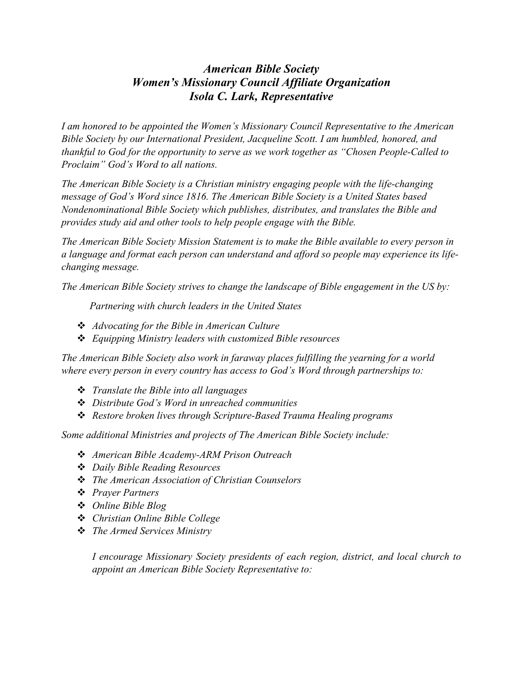## *American Bible Society Women's Missionary Council Affiliate Organization Isola C. Lark, Representative*

*I am honored to be appointed the Women's Missionary Council Representative to the American Bible Society by our International President, Jacqueline Scott. I am humbled, honored, and thankful to God for the opportunity to serve as we work together as "Chosen People-Called to Proclaim" God's Word to all nations.* 

*The American Bible Society is a Christian ministry engaging people with the life-changing message of God's Word since 1816. The American Bible Society is a United States based Nondenominational Bible Society which publishes, distributes, and translates the Bible and provides study aid and other tools to help people engage with the Bible.*

*The American Bible Society Mission Statement is to make the Bible available to every person in a language and format each person can understand and afford so people may experience its lifechanging message.*

*The American Bible Society strives to change the landscape of Bible engagement in the US by:* 

 *Partnering with church leaders in the United States*

- *Advocating for the Bible in American Culture*
- *Equipping Ministry leaders with customized Bible resources*

*The American Bible Society also work in faraway places fulfilling the yearning for a world where every person in every country has access to God's Word through partnerships to:*

- *Translate the Bible into all languages*
- *Distribute God's Word in unreached communities*
- *Restore broken lives through Scripture-Based Trauma Healing programs*

*Some additional Ministries and projects of The American Bible Society include:*

- *American Bible Academy-ARM Prison Outreach*
- *Daily Bible Reading Resources*
- *The American Association of Christian Counselors*
- *Prayer Partners*
- *Online Bible Blog*
- *Christian Online Bible College*
- *The Armed Services Ministry*

*I encourage Missionary Society presidents of each region, district, and local church to appoint an American Bible Society Representative to:*